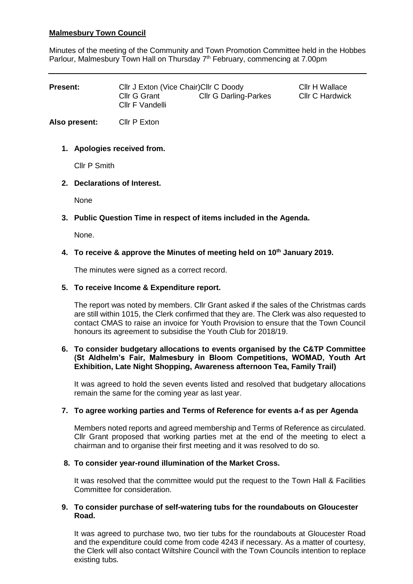# **Malmesbury Town Council**

Minutes of the meeting of the Community and Town Promotion Committee held in the Hobbes Parlour, Malmesbury Town Hall on Thursday 7<sup>th</sup> February, commencing at 7.00pm

| <b>Present:</b> | Cllr J Exton (Vice Chair) Cllr C Doody |                              | Cllr H Wallace         |
|-----------------|----------------------------------------|------------------------------|------------------------|
|                 | Cllr G Grant<br>Cllr F Vandelli        | <b>CIIr G Darling-Parkes</b> | <b>CIIr C Hardwick</b> |

**Also present:** Cllr P Exton

## **1. Apologies received from.**

Cllr P Smith

## **2. Declarations of Interest.**

None

# **3. Public Question Time in respect of items included in the Agenda.**

None.

# **4. To receive & approve the Minutes of meeting held on 10th January 2019.**

The minutes were signed as a correct record.

## **5. To receive Income & Expenditure report.**

The report was noted by members. Cllr Grant asked if the sales of the Christmas cards are still within 1015, the Clerk confirmed that they are. The Clerk was also requested to contact CMAS to raise an invoice for Youth Provision to ensure that the Town Council honours its agreement to subsidise the Youth Club for 2018/19.

### **6. To consider budgetary allocations to events organised by the C&TP Committee (St Aldhelm's Fair, Malmesbury in Bloom Competitions, WOMAD, Youth Art Exhibition, Late Night Shopping, Awareness afternoon Tea, Family Trail)**

It was agreed to hold the seven events listed and resolved that budgetary allocations remain the same for the coming year as last year.

## **7. To agree working parties and Terms of Reference for events a-f as per Agenda**

Members noted reports and agreed membership and Terms of Reference as circulated. Cllr Grant proposed that working parties met at the end of the meeting to elect a chairman and to organise their first meeting and it was resolved to do so.

## **8. To consider year-round illumination of the Market Cross.**

It was resolved that the committee would put the request to the Town Hall & Facilities Committee for consideration.

## **9. To consider purchase of self-watering tubs for the roundabouts on Gloucester Road.**

It was agreed to purchase two, two tier tubs for the roundabouts at Gloucester Road and the expenditure could come from code 4243 if necessary. As a matter of courtesy, the Clerk will also contact Wiltshire Council with the Town Councils intention to replace existing tubs.